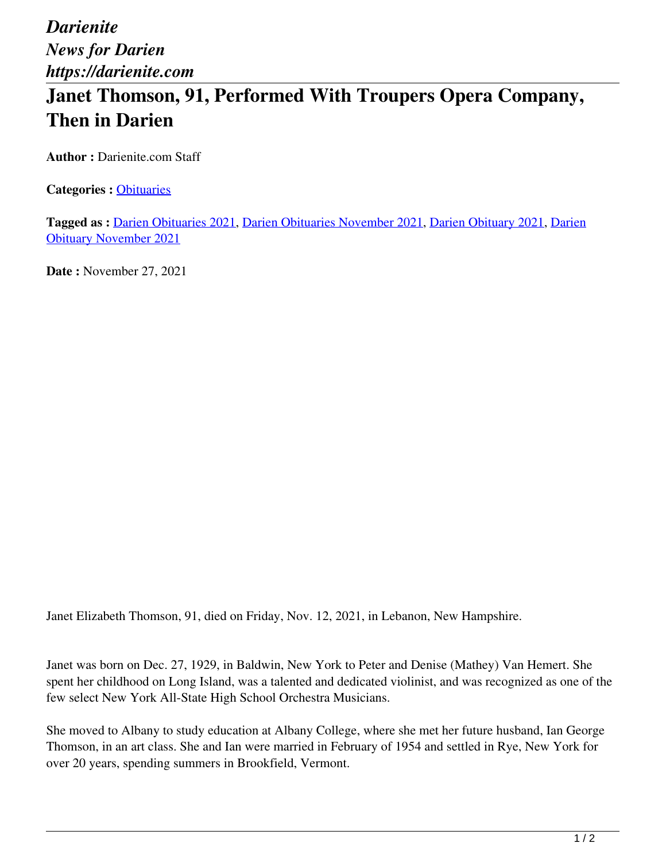*Darienite News for Darien https://darienite.com*

## **Janet Thomson, 91, Performed With Troupers Opera Company, Then in Darien**

**Author :** Darienite.com Staff

**Categories :** [Obituaries](https://darienite.com/category/obituaries)

**Tagged as :** Darien Obituaries 2021, Darien Obituaries November 2021, Darien Obituary 2021, Darien Obituary November 2021

**Date :** November 27, 2021

Janet Elizabeth Thomson, 91, died on Friday, Nov. 12, 2021, in Lebanon, New Hampshire.

Janet was born on Dec. 27, 1929, in Baldwin, New York to Peter and Denise (Mathey) Van Hemert. She spent her childhood on Long Island, was a talented and dedicated violinist, and was recognized as one of the few select New York All-State High School Orchestra Musicians.

She moved to Albany to study education at Albany College, where she met her future husband, Ian George Thomson, in an art class. She and Ian were married in February of 1954 and settled in Rye, New York for over 20 years, spending summers in Brookfield, Vermont.